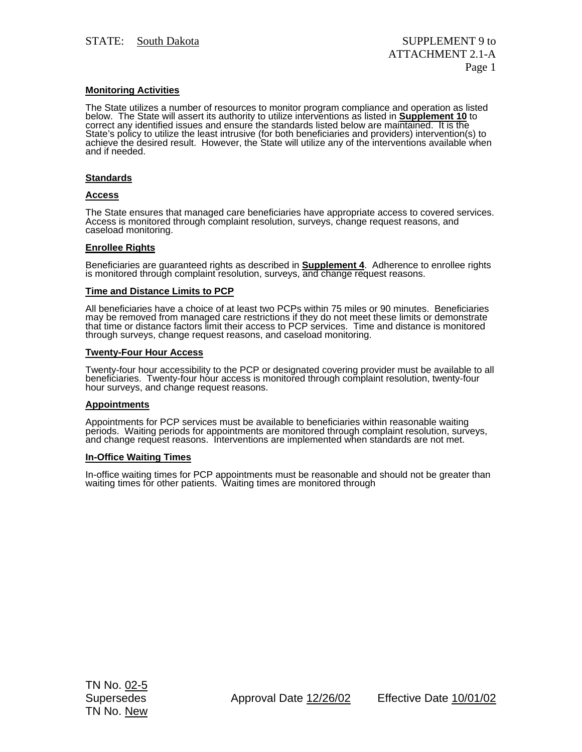## **Monitoring Activities**

The State utilizes a number of resources to monitor program compliance and operation as listed<br>below. The State will assert its authority to utilize interventions as listed in <mark>Supplement 10</mark> to correct any identified issues and ensure the standards listed below are maintained. It is the State's policy to utilize the least intrusive (for both beneficiaries and providers) intervention(s) to achieve the desired result. However, the State will utilize any of the interventions available when and if needed.

### **Standards**

### **Access**

The State ensures that managed care beneficiaries have appropriate access to covered services.<br>Access is monitored through complaint resolution, surveys, change request reasons, and caseload monitoring.

### **Enrollee Rights**

Beneficiaries are guaranteed rights as described in **Supplement 4**. Adherence to enrollee rights is monitored through complaint resolution, surveys, and change request reasons.

#### **Time and Distance Limits to PCP**

All beneficiaries have a choice of at least two PCPs within 75 miles or 90 minutes. Beneficiaries may be removed from managed care restrictions if they do not meet these limits or demonstrate that time or distance factors limit their access to PCP services. Time and distance is monitored through surveys, change request reasons, and caseload monitoring.

### **Twenty-Four Hour Access**

Twenty-four hour accessibility to the PCP or designated covering provider must be available to all beneficiaries. Twenty-four hour access is monitored through complaint resolution, twenty-four hour surveys, and change requ

### **Appointments**

Appointments for PCP services must be available to beneficiaries within reasonable waiting periods. Waiting periods for appointments are monitored through complaint resolution, surveys, and change request reasons. Interventions are implemented when standards are not met.

### **In-Office Waiting Times**

In-office waiting times for PCP appointments must be reasonable and should not be greater than waiting times for other patients. Waiting times are monitored through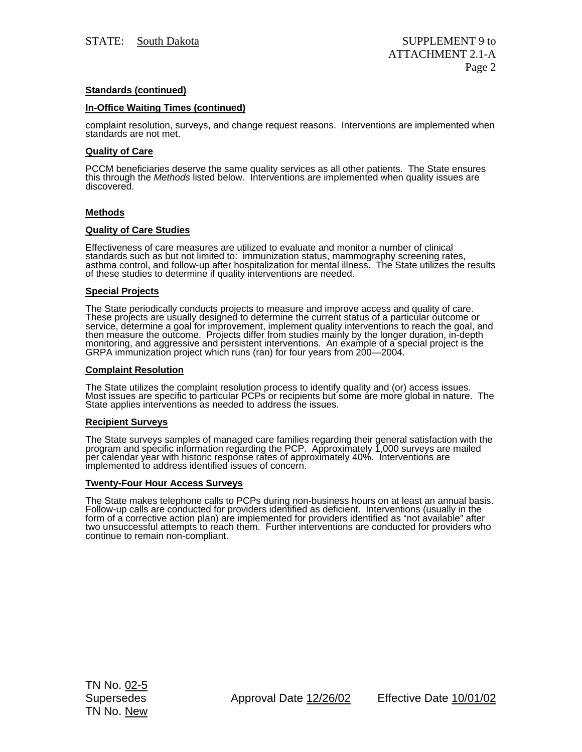# **Standards (continued)**

### **In-Office Waiting Times (continued)**

complaint resolution, surveys, and change request reasons. Interventions are implemented when standards are not met.

## **Quality of Care**

PCCM beneficiaries deserve the same quality services as all other patients. The State ensures<br>this through the *Methods* listed below. Interventions are implemented when quality issues are<br>discovered.

## **Methods**

## **Quality of Care Studies**

Effectiveness of care measures are utilized to evaluate and monitor a number of clinical standards such as but not limited to: immunization status, mammography screening rates, asthma control, and follow-up after hospitalization for mental illness. The State utilizes the results of these studies to determine if quality interventions are needed.

### **Special Projects**

The State periodically conducts projects to measure and improve access and quality of care.<br>These projects are usually designed to determine the current status of a particular outcome or<br>service, determine a goal for impro monitoring, and aggressive and persistent interventions. An example of a special project is the GRPA immunization project which runs (ran) for four years from 200—2004.

### **Complaint Resolution**

The State utilizes the complaint resolution process to identify quality and (or) access issues. Most issues are specific to particular PCPs or recipients but some are more global in nature. The State applies interventions as needed to address the issues.

### **Recipient Surveys**

The State surveys samples of managed care families regarding their general satisfaction with the program and specific information regarding the PCP. Approximately 1,000 surveys are mailed per calendar year with historic re

# **Twenty-Four Hour Access Surveys**

The State makes telephone calls to PCPs during non-business hours on at least an annual basis.<br>Follow-up calls are conducted for providers identified as deficient. Interventions (usually in the form of a corrective action plan) are implemented for providers identified as "not available" after<br>two unsuccessful attempts to reach them. Further interventions are conducted for providers who<br>continue to remain non-comp